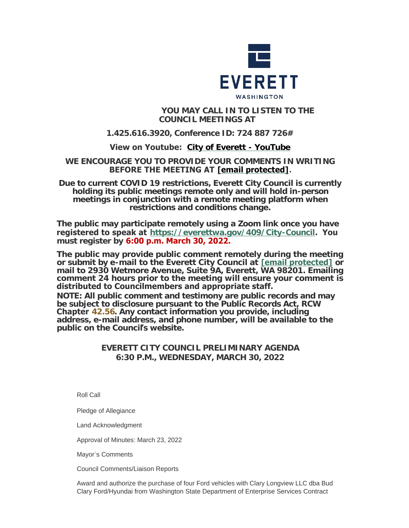

# **YOU MAY CALL IN TO LISTEN TO THE COUNCIL MEETINGS AT**

# **1.425.616.3920, Conference ID: 724 887 726#**

# **View on Youtube: [City of Everett - YouTube](https://www.youtube.com/c/EverettCity)**

## **WE ENCOURAGE YOU TO PROVIDE YOUR COMMENTS IN WRITING BEFORE THE MEETING AT [\[email protected\]](https://www.everettwa.gov/cdn-cgi/l/email-protection#bdfef2e8f3fef4f1fdf8ebf8eff8e9e9eafc93faf2eb).**

**Due to current COVID 19 restrictions, Everett City Council is currently holding its public meetings remote only and will hold in-person meetings in conjunction with a remote meeting platform when restrictions and conditions change.**

**The public may participate remotely using a Zoom link once you have registered to speak at <https://everettwa.gov/409/City-Council>. You must register by 6:00 p.m. March 30, 2022.** 

**The public may provide public comment remotely during the meeting or submit by e-mail to the Everett City Council at [\[email protected\]](https://www.everettwa.gov/cdn-cgi/l/email-protection) or mail to 2930 Wetmore Avenue, Suite 9A, Everett, WA 98201. Emailing comment 24 hours prior to the meeting will ensure your comment is distributed to Councilmembers and appropriate staff.** 

*NOTE: All public comment and testimony are public records and may be subject to disclosure pursuant to the Public Records Act, RCW*  **Chapter** *[42.56](https://apps.leg.wa.gov/rcw/default.aspx?cite=42.56). Any contact information you provide, including address, e-mail address, and phone number, will be available to the public on the Council***'***s website.*

# **EVERETT CITY COUNCIL PRELIMINARY AGENDA 6:30 P.M., WEDNESDAY, MARCH 30, 2022**

Roll Call

Pledge of Allegiance

Land Acknowledgment

Approval of Minutes: March 23, 2022

Mayor's Comments

Council Comments/Liaison Reports

Award and authorize the purchase of four Ford vehicles with Clary Longview LLC dba Bud Clary Ford/Hyundai from Washington State Department of Enterprise Services Contract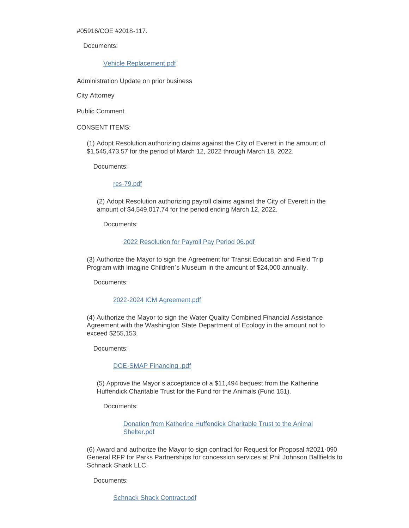#05916/COE #2018-117.

Documents:

[Vehicle Replacement.pdf](https://www.everettwa.gov/AgendaCenter/ViewFile/Item/13563?fileID=80741)

Administration Update on prior business

City Attorney

Public Comment

CONSENT ITEMS:

(1) Adopt Resolution authorizing claims against the City of Everett in the amount of \$1,545,473.57 for the period of March 12, 2022 through March 18, 2022.

Documents:

[res-79.pdf](https://www.everettwa.gov/AgendaCenter/ViewFile/Item/13526?fileID=80083)

(2) Adopt Resolution authorizing payroll claims against the City of Everett in the amount of \$4,549,017.74 for the period ending March 12, 2022.

Documents:

#### [2022 Resolution for Payroll Pay Period 06.pdf](https://www.everettwa.gov/AgendaCenter/ViewFile/Item/13527?fileID=80084)

(3) Authorize the Mayor to sign the Agreement for Transit Education and Field Trip Program with Imagine Children's Museum in the amount of \$24,000 annually.

Documents:

## [2022-2024 ICM Agreement.pdf](https://www.everettwa.gov/AgendaCenter/ViewFile/Item/13528?fileID=80085)

(4) Authorize the Mayor to sign the Water Quality Combined Financial Assistance Agreement with the Washington State Department of Ecology in the amount not to exceed \$255,153.

Documents:

[DOE-SMAP Financing .pdf](https://www.everettwa.gov/AgendaCenter/ViewFile/Item/13529?fileID=80086)

(5) Approve the Mayor's acceptance of a \$11,494 bequest from the Katherine Huffendick Charitable Trust for the Fund for the Animals (Fund 151).

Documents:

[Donation from Katherine Huffendick Charitable Trust to the Animal](https://www.everettwa.gov/AgendaCenter/ViewFile/Item/13562?fileID=80100)  Shelter.pdf

(6) Award and authorize the Mayor to sign contract for Request for Proposal #2021-090 General RFP for Parks Partnerships for concession services at Phil Johnson Ballfields to Schnack Shack LLC.

Documents:

[Schnack Shack Contract.pdf](https://www.everettwa.gov/AgendaCenter/ViewFile/Item/13530?fileID=80087)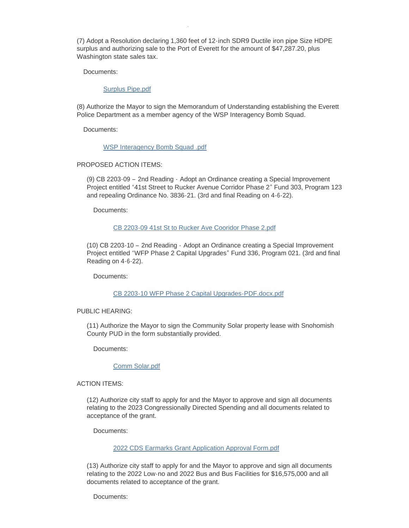(7) Adopt a Resolution declaring 1,360 feet of 12-inch SDR9 Ductile iron pipe Size HDPE surplus and authorizing sale to the Port of Everett for the amount of \$47,287.20, plus Washington state sales tax.

Documents:

[Surplus Pipe.pdf](https://www.everettwa.gov/AgendaCenter/ViewFile/Item/13531?fileID=80088)

(8) Authorize the Mayor to sign the Memorandum of Understanding establishing the Everett Police Department as a member agency of the WSP Interagency Bomb Squad.

Documents:

[WSP Interagency Bomb Squad .pdf](https://www.everettwa.gov/AgendaCenter/ViewFile/Item/13532?fileID=80089)

Schnack Shack Contract.pdf

## PROPOSED ACTION ITEMS:

(9) CB 2203-09 – 2nd Reading - Adopt an Ordinance creating a Special Improvement Project entitled "41st Street to Rucker Avenue Corridor Phase 2" Fund 303, Program 123 and repealing Ordinance No. 3836-21. (3rd and final Reading on 4-6-22).

Documents:

#### [CB 2203-09 41st St to Rucker Ave Cooridor Phase 2.pdf](https://www.everettwa.gov/AgendaCenter/ViewFile/Item/13533?fileID=80090)

(10) CB 2203-10 – 2nd Reading - Adopt an Ordinance creating a Special Improvement Project entitled "WFP Phase 2 Capital Upgrades" Fund 336, Program 021. (3rd and final Reading on 4-6-22).

Documents:

## [CB 2203-10 WFP Phase 2 Capital Upgrades-PDF.docx.pdf](https://www.everettwa.gov/AgendaCenter/ViewFile/Item/13534?fileID=80091)

#### PUBLIC HEARING:

(11) Authorize the Mayor to sign the Community Solar property lease with Snohomish County PUD in the form substantially provided.

Documents:

#### [Comm Solar.pdf](https://www.everettwa.gov/AgendaCenter/ViewFile/Item/13535?fileID=80718)

ACTION ITEMS:

(12) Authorize city staff to apply for and the Mayor to approve and sign all documents relating to the 2023 Congressionally Directed Spending and all documents related to acceptance of the grant.

Documents:

## [2022 CDS Earmarks Grant Application Approval Form.pdf](https://www.everettwa.gov/AgendaCenter/ViewFile/Item/13536?fileID=80093)

(13) Authorize city staff to apply for and the Mayor to approve and sign all documents relating to the 2022 Low-no and 2022 Bus and Bus Facilities for \$16,575,000 and all documents related to acceptance of the grant.

Documents: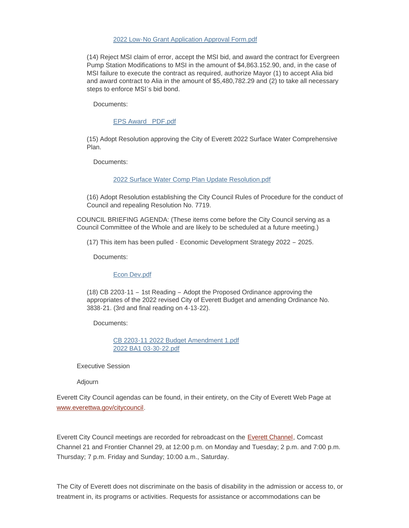#### [2022 Low-No Grant Application Approval Form.pdf](https://www.everettwa.gov/AgendaCenter/ViewFile/Item/13537?fileID=80094)

(14) Reject MSI claim of error, accept the MSI bid, and award the contract for Evergreen Pump Station Modifications to MSI in the amount of \$4,863.152.90, and, in the case of MSI failure to execute the contract as required, authorize Mayor (1) to accept Alia bid and award contract to Alia in the amount of \$5,480,782.29 and (2) to take all necessary steps to enforce MSI's bid bond.

Documents:

[EPS Award\\_ PDF.pdf](https://www.everettwa.gov/AgendaCenter/ViewFile/Item/13538?fileID=80095)

(15) Adopt Resolution approving the City of Everett 2022 Surface Water Comprehensive Plan.

Documents:

[2022 Surface Water Comp Plan Update Resolution.pdf](https://www.everettwa.gov/AgendaCenter/ViewFile/Item/13539?fileID=80096)

(16) Adopt Resolution establishing the City Council Rules of Procedure for the conduct of Council and repealing Resolution No. 7719.

COUNCIL BRIEFING AGENDA: (These items come before the City Council serving as a Council Committee of the Whole and are likely to be scheduled at a future meeting.)

(17) This item has been pulled - Economic Development Strategy 2022 – 2025.

Documents:

[Econ Dev.pdf](https://www.everettwa.gov/AgendaCenter/ViewFile/Item/13541?fileID=80098)

(18) CB 2203-11 – 1st Reading – Adopt the Proposed Ordinance approving the appropriates of the 2022 revised City of Everett Budget and amending Ordinance No. 3838-21. (3rd and final reading on 4-13-22).

Documents:

[CB 2203-11 2022 Budget Amendment 1.pdf](https://www.everettwa.gov/AgendaCenter/ViewFile/Item/13542?fileID=80099) [2022 BA1 03-30-22.pdf](https://www.everettwa.gov/AgendaCenter/ViewFile/Item/13542?fileID=80719)

Executive Session

Adjourn

[Everett City Council agendas c](http://www.everettwa.gov/citycouncil)an be found, in their entirety, on the City of Everett Web Page at www.everettwa.gov/citycouncil.

Everett City Council meetings are recorded for rebroadcast on the [Everett Channel](http://wa-everett.civicplus.com/408), Comcast Channel 21 and Frontier Channel 29, at 12:00 p.m. on Monday and Tuesday; 2 p.m. and 7:00 p.m. Thursday; 7 p.m. Friday and Sunday; 10:00 a.m., Saturday.

The City of Everett does not discriminate on the basis of disability in the admission or access to, or treatment in, its programs or activities. Requests for assistance or accommodations can be